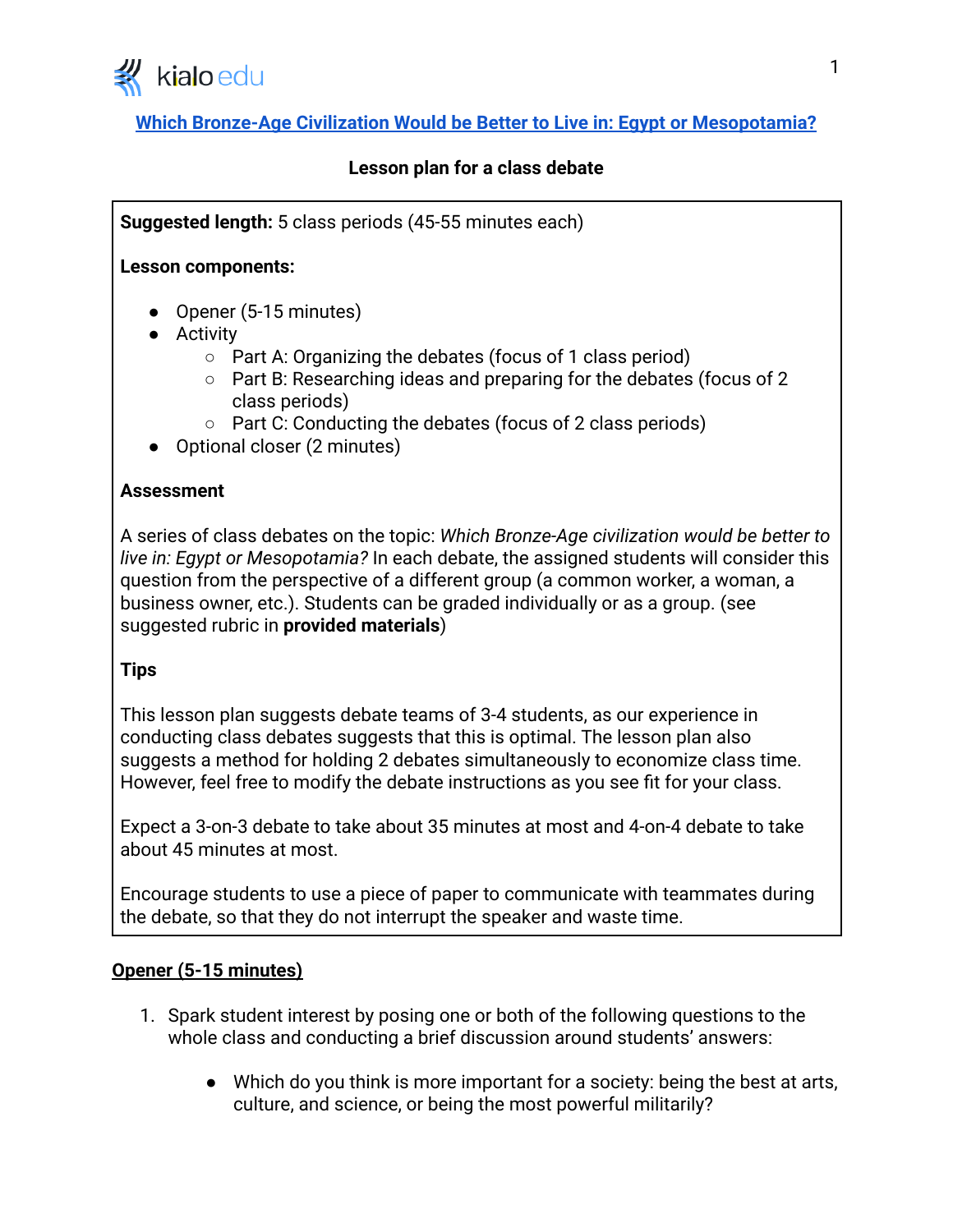

# **[Which Bronze-Age Civilization Would be Better to Live in: Egypt or Mesopotamia?](https://www.kialo-edu.com/p/04330356-7dd7-48a9-8b03-f1e4a0b92d0d/67422)**

## **Lesson plan for a class debate**

**Suggested length:** 5 class periods (45-55 minutes each)

### **Lesson components:**

- Opener (5-15 minutes)
- Activity
	- Part A: Organizing the debates (focus of 1 class period)
	- Part B: Researching ideas and preparing for the debates (focus of 2 class periods)
	- Part C: Conducting the debates (focus of 2 class periods)
- Optional closer (2 minutes)

### **Assessment**

A series of class debates on the topic: *Which Bronze-Age civilization would be better to live in: Egypt or Mesopotamia?* In each debate, the assigned students will consider this question from the perspective of a different group (a common worker, a woman, a business owner, etc.). Students can be graded individually or as a group. (see suggested rubric in **provided materials**)

## **Tips**

This lesson plan suggests debate teams of 3-4 students, as our experience in conducting class debates suggests that this is optimal. The lesson plan also suggests a method for holding 2 debates simultaneously to economize class time. However, feel free to modify the debate instructions as you see fit for your class.

Expect a 3-on-3 debate to take about 35 minutes at most and 4-on-4 debate to take about 45 minutes at most.

Encourage students to use a piece of paper to communicate with teammates during the debate, so that they do not interrupt the speaker and waste time.

## **Opener (5-15 minutes)**

- 1. Spark student interest by posing one or both of the following questions to the whole class and conducting a brief discussion around students' answers:
	- Which do you think is more important for a society: being the best at arts, culture, and science, or being the most powerful militarily?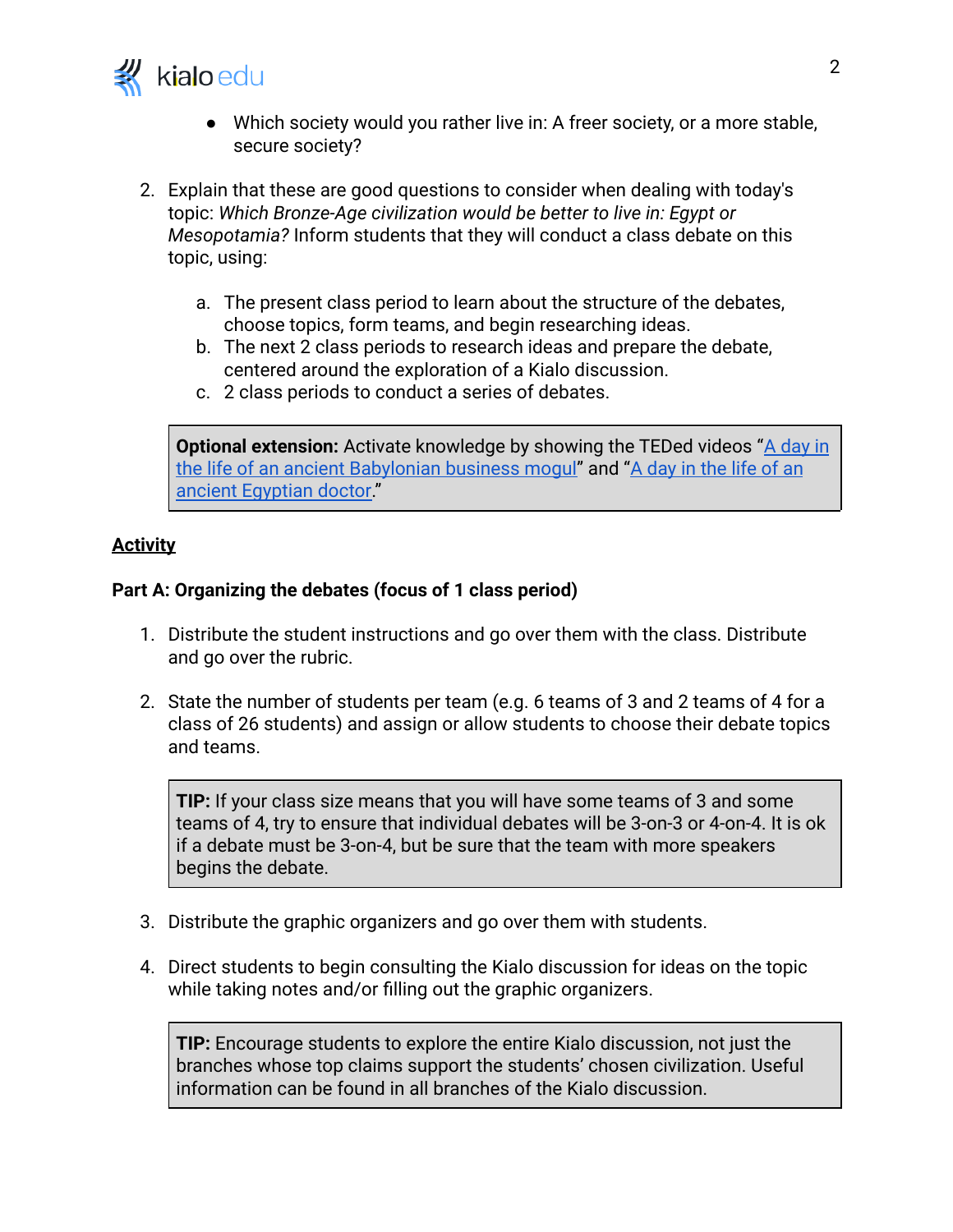

- Which society would you rather live in: A freer society, or a more stable, secure society?
- 2. Explain that these are good questions to consider when dealing with today's topic: *Which Bronze-Age civilization would be better to live in: Egypt or Mesopotamia?* Inform students that they will conduct a class debate on this topic, using:
	- a. The present class period to learn about the structure of the debates, choose topics, form teams, and begin researching ideas.
	- b. The next 2 class periods to research ideas and prepare the debate, centered around the exploration of a Kialo discussion.
	- c. 2 class periods to conduct a series of debates.

**Optional extension:** Activate knowledge by showing the TEDed videos "[A day in](https://www.ted.com/talks/soraya_field_fiorio_a_day_in_the_life_of_an_ancient_babylonian_business_mogul?language=en) [the life of an ancient Babylonian business mogul"](https://www.ted.com/talks/soraya_field_fiorio_a_day_in_the_life_of_an_ancient_babylonian_business_mogul?language=en) and ["A day in the life of an](https://www.ted.com/talks/elizabeth_cox_a_day_in_the_life_of_an_ancient_egyptian_doctor?language=en) [ancient Egyptian doctor.](https://www.ted.com/talks/elizabeth_cox_a_day_in_the_life_of_an_ancient_egyptian_doctor?language=en)"

# **Activity**

## **Part A: Organizing the debates (focus of 1 class period)**

- 1. Distribute the student instructions and go over them with the class. Distribute and go over the rubric.
- 2. State the number of students per team (e.g. 6 teams of 3 and 2 teams of 4 for a class of 26 students) and assign or allow students to choose their debate topics and teams.

**TIP:** If your class size means that you will have some teams of 3 and some teams of 4, try to ensure that individual debates will be 3-on-3 or 4-on-4. It is ok if a debate must be 3-on-4, but be sure that the team with more speakers begins the debate.

- 3. Distribute the graphic organizers and go over them with students.
- 4. Direct students to begin consulting the Kialo discussion for ideas on the topic while taking notes and/or filling out the graphic organizers.

**TIP:** Encourage students to explore the entire Kialo discussion, not just the branches whose top claims support the students' chosen civilization. Useful information can be found in all branches of the Kialo discussion.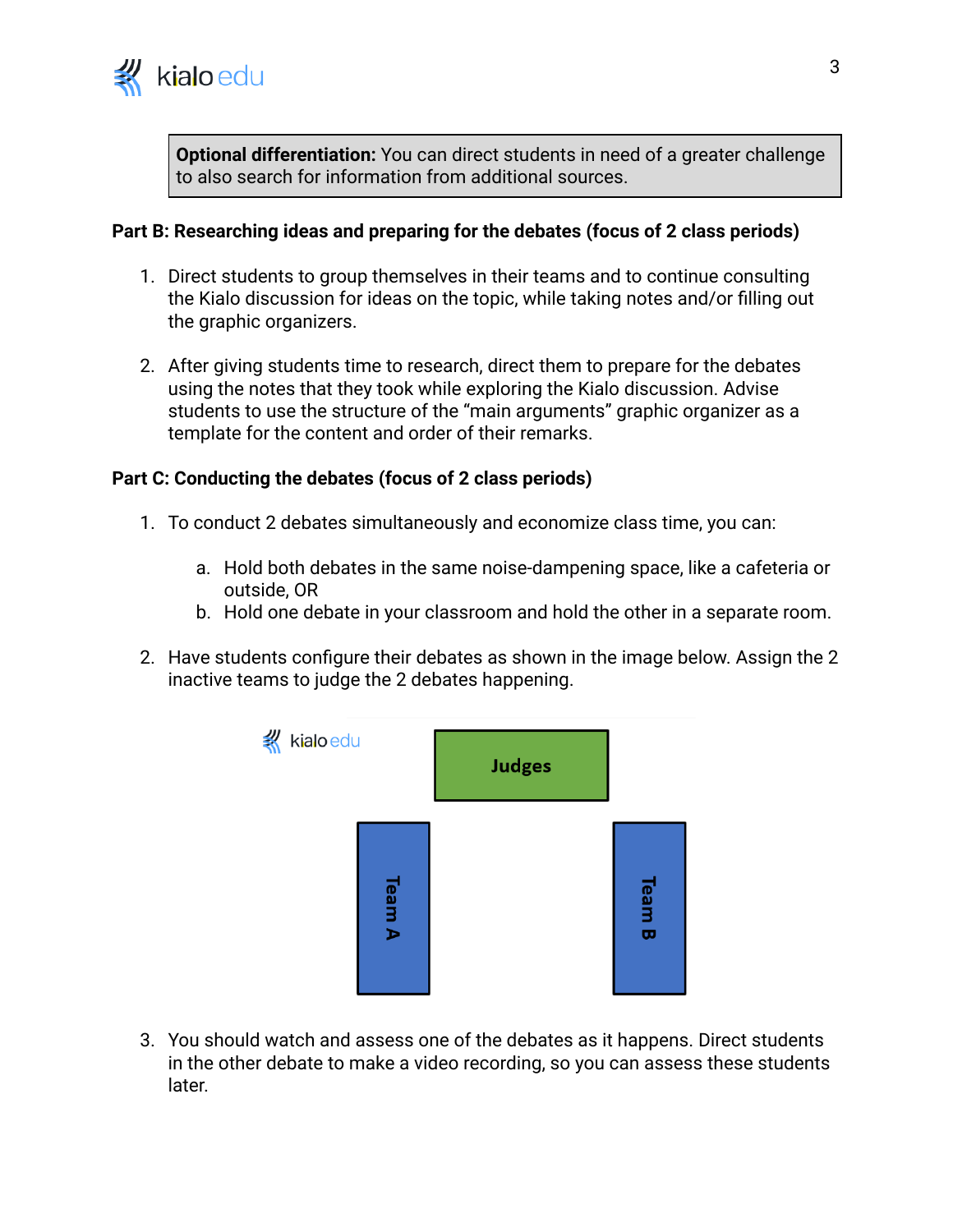

**Optional differentiation:** You can direct students in need of a greater challenge to also search for information from additional sources.

### **Part B: Researching ideas and preparing for the debates (focus of 2 class periods)**

- 1. Direct students to group themselves in their teams and to continue consulting the Kialo discussion for ideas on the topic, while taking notes and/or filling out the graphic organizers.
- 2. After giving students time to research, direct them to prepare for the debates using the notes that they took while exploring the Kialo discussion. Advise students to use the structure of the "main arguments" graphic organizer as a template for the content and order of their remarks.

#### **Part C: Conducting the debates (focus of 2 class periods)**

- 1. To conduct 2 debates simultaneously and economize class time, you can:
	- a. Hold both debates in the same noise-dampening space, like a cafeteria or outside, OR
	- b. Hold one debate in your classroom and hold the other in a separate room.
- 2. Have students configure their debates as shown in the image below. Assign the 2 inactive teams to judge the 2 debates happening.



3. You should watch and assess one of the debates as it happens. Direct students in the other debate to make a video recording, so you can assess these students later.